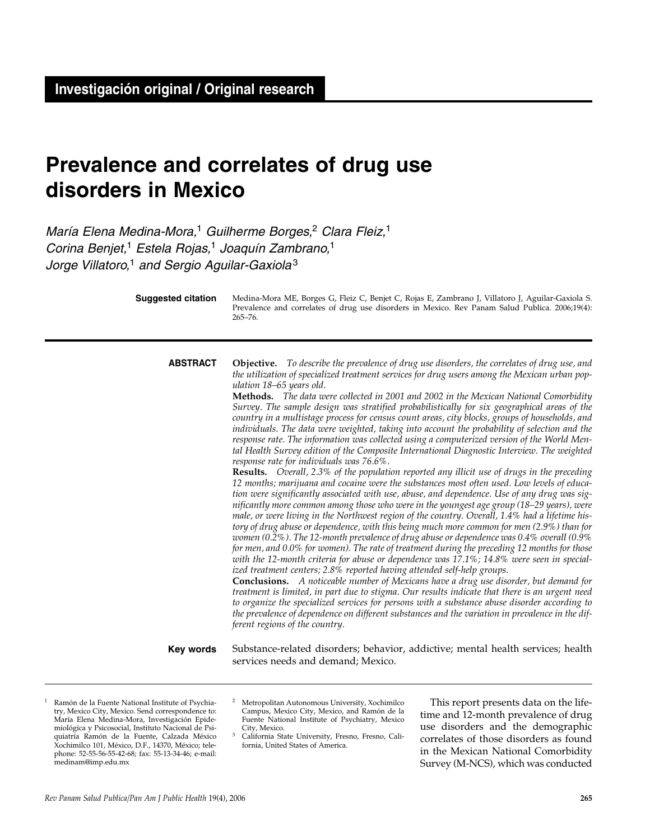# **Prevalence and correlates of drug use disorders in Mexico**

María Elena Medina-Mora,<sup>1</sup> Guilherme Borges,<sup>2</sup> Clara Fleiz,<sup>1</sup> Corina Benjet,<sup>1</sup> Estela Rojas,<sup>1</sup> Joaquín Zambrano,<sup>1</sup> Jorge Villatoro,<sup>1</sup> and Sergio Aguilar-Gaxiola<sup>3</sup>

> Medina-Mora ME, Borges G, Fleiz C, Benjet C, Rojas E, Zambrano J, Villatoro J, Aguilar-Gaxiola S. Prevalence and correlates of drug use disorders in Mexico. Rev Panam Salud Publica. 2006;19(4): 265–76. **Suggested citation**

**Objective.** *To describe the prevalence of drug use disorders, the correlates of drug use, and the utilization of specialized treatment services for drug users among the Mexican urban population 18–65 years old.*  **ABSTRACT**

> **Methods.** *The data were collected in 2001 and 2002 in the Mexican National Comorbidity Survey. The sample design was stratified probabilistically for six geographical areas of the country in a multistage process for census count areas, city blocks, groups of households, and individuals. The data were weighted, taking into account the probability of selection and the response rate. The information was collected using a computerized version of the World Mental Health Survey edition of the Composite International Diagnostic Interview. The weighted response rate for individuals was 76.6%.*

> **Results.** *Overall, 2.3% of the population reported any illicit use of drugs in the preceding 12 months; marijuana and cocaine were the substances most often used. Low levels of education were significantly associated with use, abuse, and dependence. Use of any drug was significantly more common among those who were in the youngest age group (18–29 years), were male, or were living in the Northwest region of the country. Overall, 1.4% had a lifetime history of drug abuse or dependence, with this being much more common for men (2.9%) than for women (0.2%). The 12-month prevalence of drug abuse or dependence was 0.4% overall (0.9% for men, and 0.0% for women). The rate of treatment during the preceding 12 months for those with the 12-month criteria for abuse or dependence was 17.1%; 14.8% were seen in specialized treatment centers; 2.8% reported having attended self-help groups.*

> **Conclusions.** *A noticeable number of Mexicans have a drug use disorder, but demand for treatment is limited, in part due to stigma. Our results indicate that there is an urgent need to organize the specialized services for persons with a substance abuse disorder according to the prevalence of dependence on different substances and the variation in prevalence in the different regions of the country.*

Substance-related disorders; behavior, addictive; mental health services; health services needs and demand; Mexico. **Key words**

- Ramón de la Fuente National Institute of Psychiatry, Mexico City, Mexico. Send correspondence to: María Elena Medina-Mora, Investigación Epidemiológica y Psicosocial, Instituto Nacional de Psiquiatría Ramón de la Fuente, Calzada México Xochimilco 101, México, D.F., 14370, México; telephone: 52-55-56-55-42-68; fax: 55-13-34-46; e-mail: medinam@imp.edu.mx
- <sup>2</sup> Metropolitan Autonomous University, Xochimilco Campus, Mexico City, Mexico, and Ramón de la Fuente National Institute of Psychiatry, Mexico
- California State University, Fresno, Fresno, California, United States of America.

This report presents data on the lifetime and 12-month prevalence of drug use disorders and the demographic correlates of those disorders as found in the Mexican National Comorbidity Survey (M-NCS), which was conducted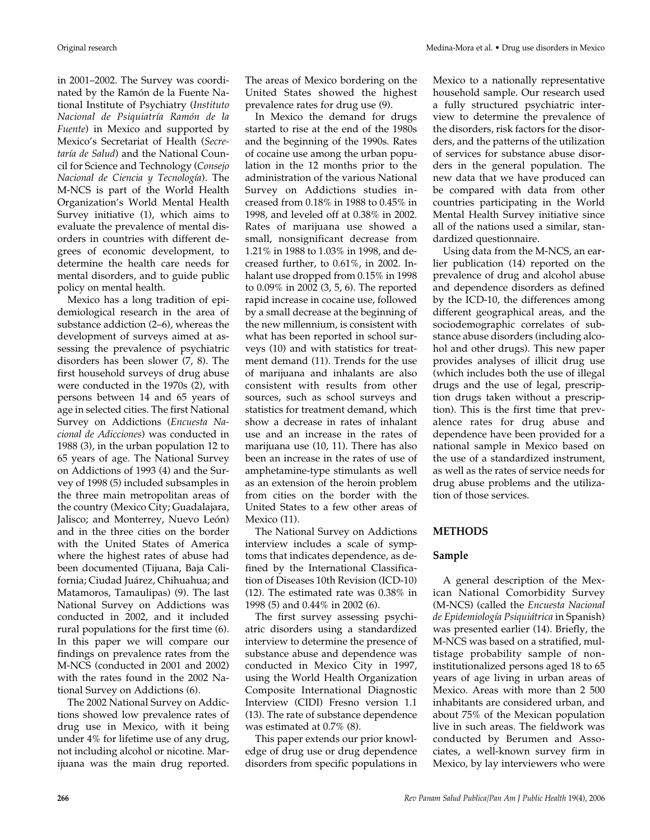in 2001–2002. The Survey was coordinated by the Ramón de la Fuente National Institute of Psychiatry (*Instituto Nacional de Psiquiatría Ramón de la Fuente*) in Mexico and supported by Mexico's Secretariat of Health (*Secretaría de Salud*) and the National Council for Science and Technology (*Consejo Nacional de Ciencia y Tecnología*). The M-NCS is part of the World Health Organization's World Mental Health Survey initiative (1), which aims to evaluate the prevalence of mental disorders in countries with different degrees of economic development, to determine the health care needs for mental disorders, and to guide public policy on mental health.

Mexico has a long tradition of epidemiological research in the area of substance addiction (2–6), whereas the development of surveys aimed at assessing the prevalence of psychiatric disorders has been slower (7, 8). The first household surveys of drug abuse were conducted in the 1970s (2), with persons between 14 and 65 years of age in selected cities. The first National Survey on Addictions (*Encuesta Nacional de Adicciones*) was conducted in 1988 (3), in the urban population 12 to 65 years of age. The National Survey on Addictions of 1993 (4) and the Survey of 1998 (5) included subsamples in the three main metropolitan areas of the country (Mexico City; Guadalajara, Jalisco; and Monterrey, Nuevo León) and in the three cities on the border with the United States of America where the highest rates of abuse had been documented (Tijuana, Baja California; Ciudad Juárez, Chihuahua; and Matamoros, Tamaulipas) (9). The last National Survey on Addictions was conducted in 2002, and it included rural populations for the first time (6). In this paper we will compare our findings on prevalence rates from the M-NCS (conducted in 2001 and 2002) with the rates found in the 2002 National Survey on Addictions (6).

The 2002 National Survey on Addictions showed low prevalence rates of drug use in Mexico, with it being under 4% for lifetime use of any drug, not including alcohol or nicotine. Marijuana was the main drug reported.

The areas of Mexico bordering on the United States showed the highest prevalence rates for drug use (9).

In Mexico the demand for drugs started to rise at the end of the 1980s and the beginning of the 1990s. Rates of cocaine use among the urban population in the 12 months prior to the administration of the various National Survey on Addictions studies increased from 0.18% in 1988 to 0.45% in 1998, and leveled off at 0.38% in 2002. Rates of marijuana use showed a small, nonsignificant decrease from 1.21% in 1988 to 1.03% in 1998, and decreased further, to 0.61%, in 2002. Inhalant use dropped from 0.15% in 1998 to 0.09% in 2002 (3, 5, 6). The reported rapid increase in cocaine use, followed by a small decrease at the beginning of the new millennium, is consistent with what has been reported in school surveys (10) and with statistics for treatment demand (11). Trends for the use of marijuana and inhalants are also consistent with results from other sources, such as school surveys and statistics for treatment demand, which show a decrease in rates of inhalant use and an increase in the rates of marijuana use (10, 11). There has also been an increase in the rates of use of amphetamine-type stimulants as well as an extension of the heroin problem from cities on the border with the United States to a few other areas of Mexico (11).

The National Survey on Addictions interview includes a scale of symptoms that indicates dependence, as defined by the International Classification of Diseases 10th Revision (ICD-10) (12). The estimated rate was 0.38% in 1998 (5) and 0.44% in 2002 (6).

The first survey assessing psychiatric disorders using a standardized interview to determine the presence of substance abuse and dependence was conducted in Mexico City in 1997, using the World Health Organization Composite International Diagnostic Interview (CIDI) Fresno version 1.1 (13). The rate of substance dependence was estimated at 0.7% (8).

This paper extends our prior knowledge of drug use or drug dependence disorders from specific populations in Mexico to a nationally representative household sample. Our research used a fully structured psychiatric interview to determine the prevalence of the disorders, risk factors for the disorders, and the patterns of the utilization of services for substance abuse disorders in the general population. The new data that we have produced can be compared with data from other countries participating in the World Mental Health Survey initiative since all of the nations used a similar, standardized questionnaire.

Using data from the M-NCS, an earlier publication (14) reported on the prevalence of drug and alcohol abuse and dependence disorders as defined by the ICD-10, the differences among different geographical areas, and the sociodemographic correlates of substance abuse disorders (including alcohol and other drugs). This new paper provides analyses of illicit drug use (which includes both the use of illegal drugs and the use of legal, prescription drugs taken without a prescription). This is the first time that prevalence rates for drug abuse and dependence have been provided for a national sample in Mexico based on the use of a standardized instrument, as well as the rates of service needs for drug abuse problems and the utilization of those services.

#### **METHODS**

#### **Sample**

A general description of the Mexican National Comorbidity Survey (M-NCS) (called the *Encuesta Nacional de Epidemiología Psiquiátrica* in Spanish) was presented earlier (14). Briefly, the M-NCS was based on a stratified, multistage probability sample of noninstitutionalized persons aged 18 to 65 years of age living in urban areas of Mexico. Areas with more than 2 500 inhabitants are considered urban, and about 75% of the Mexican population live in such areas. The fieldwork was conducted by Berumen and Associates, a well-known survey firm in Mexico, by lay interviewers who were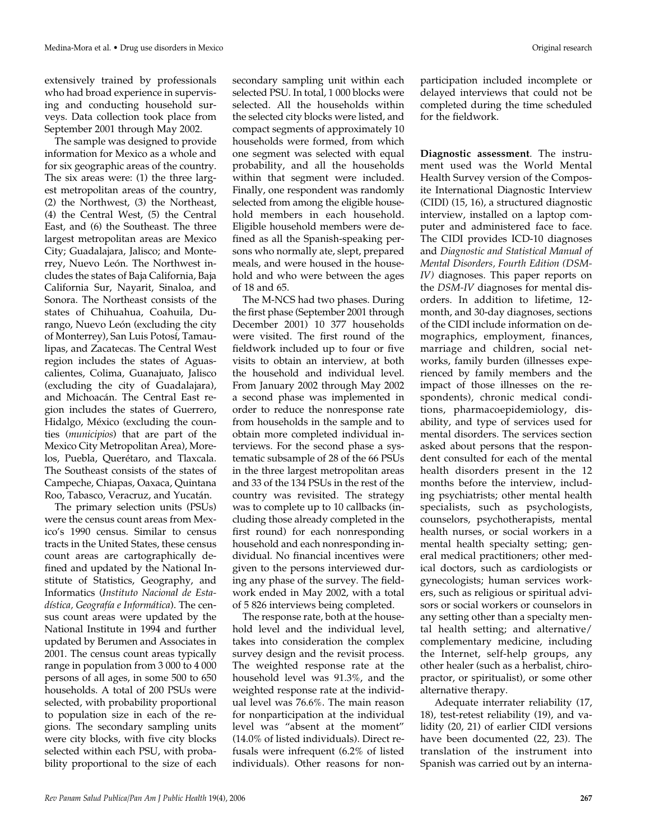extensively trained by professionals who had broad experience in supervising and conducting household surveys. Data collection took place from September 2001 through May 2002.

The sample was designed to provide information for Mexico as a whole and for six geographic areas of the country. The six areas were: (1) the three largest metropolitan areas of the country, (2) the Northwest, (3) the Northeast, (4) the Central West, (5) the Central East, and (6) the Southeast. The three largest metropolitan areas are Mexico City; Guadalajara, Jalisco; and Monterrey, Nuevo León. The Northwest includes the states of Baja California, Baja California Sur, Nayarit, Sinaloa, and Sonora. The Northeast consists of the states of Chihuahua, Coahuila, Durango, Nuevo León (excluding the city of Monterrey), San Luis Potosí, Tamaulipas, and Zacatecas. The Central West region includes the states of Aguascalientes, Colima, Guanajuato, Jalisco (excluding the city of Guadalajara), and Michoacán. The Central East region includes the states of Guerrero, Hidalgo, México (excluding the counties (*municipios*) that are part of the Mexico City Metropolitan Area), Morelos, Puebla, Querétaro, and Tlaxcala. The Southeast consists of the states of Campeche, Chiapas, Oaxaca, Quintana Roo, Tabasco, Veracruz, and Yucatán.

The primary selection units (PSUs) were the census count areas from Mexico's 1990 census. Similar to census tracts in the United States, these census count areas are cartographically defined and updated by the National Institute of Statistics, Geography, and Informatics (*Instituto Nacional de Estadística, Geografía e Informática*). The census count areas were updated by the National Institute in 1994 and further updated by Berumen and Associates in 2001. The census count areas typically range in population from 3 000 to 4 000 persons of all ages, in some 500 to 650 households. A total of 200 PSUs were selected, with probability proportional to population size in each of the regions. The secondary sampling units were city blocks, with five city blocks selected within each PSU, with probability proportional to the size of each

secondary sampling unit within each selected PSU. In total, 1 000 blocks were selected. All the households within the selected city blocks were listed, and compact segments of approximately 10 households were formed, from which one segment was selected with equal probability, and all the households within that segment were included. Finally, one respondent was randomly selected from among the eligible household members in each household. Eligible household members were defined as all the Spanish-speaking persons who normally ate, slept, prepared meals, and were housed in the household and who were between the ages of 18 and 65.

The M-NCS had two phases. During the first phase (September 2001 through December 2001) 10 377 households were visited. The first round of the fieldwork included up to four or five visits to obtain an interview, at both the household and individual level. From January 2002 through May 2002 a second phase was implemented in order to reduce the nonresponse rate from households in the sample and to obtain more completed individual interviews. For the second phase a systematic subsample of 28 of the 66 PSUs in the three largest metropolitan areas and 33 of the 134 PSUs in the rest of the country was revisited. The strategy was to complete up to 10 callbacks (including those already completed in the first round) for each nonresponding household and each nonresponding individual. No financial incentives were given to the persons interviewed during any phase of the survey. The fieldwork ended in May 2002, with a total of 5 826 interviews being completed.

The response rate, both at the household level and the individual level, takes into consideration the complex survey design and the revisit process. The weighted response rate at the household level was 91.3%, and the weighted response rate at the individual level was 76.6%. The main reason for nonparticipation at the individual level was "absent at the moment" (14.0% of listed individuals). Direct refusals were infrequent (6.2% of listed individuals). Other reasons for nonparticipation included incomplete or delayed interviews that could not be completed during the time scheduled for the fieldwork.

**Diagnostic assessment**. The instrument used was the World Mental Health Survey version of the Composite International Diagnostic Interview (CIDI) (15, 16), a structured diagnostic interview, installed on a laptop computer and administered face to face. The CIDI provides ICD-10 diagnoses and *Diagnostic and Statistical Manual of Mental Disorders, Fourth Edition (DSM-IV)* diagnoses. This paper reports on the *DSM-IV* diagnoses for mental disorders. In addition to lifetime, 12 month, and 30-day diagnoses, sections of the CIDI include information on demographics, employment, finances, marriage and children, social networks, family burden (illnesses experienced by family members and the impact of those illnesses on the respondents), chronic medical conditions, pharmacoepidemiology, disability, and type of services used for mental disorders. The services section asked about persons that the respondent consulted for each of the mental health disorders present in the 12 months before the interview, including psychiatrists; other mental health specialists, such as psychologists, counselors, psychotherapists, mental health nurses, or social workers in a mental health specialty setting; general medical practitioners; other medical doctors, such as cardiologists or gynecologists; human services workers, such as religious or spiritual advisors or social workers or counselors in any setting other than a specialty mental health setting; and alternative/ complementary medicine, including the Internet, self-help groups, any other healer (such as a herbalist, chiropractor, or spiritualist), or some other alternative therapy.

Adequate interrater reliability (17, 18), test-retest reliability (19), and validity (20, 21) of earlier CIDI versions have been documented (22, 23). The translation of the instrument into Spanish was carried out by an interna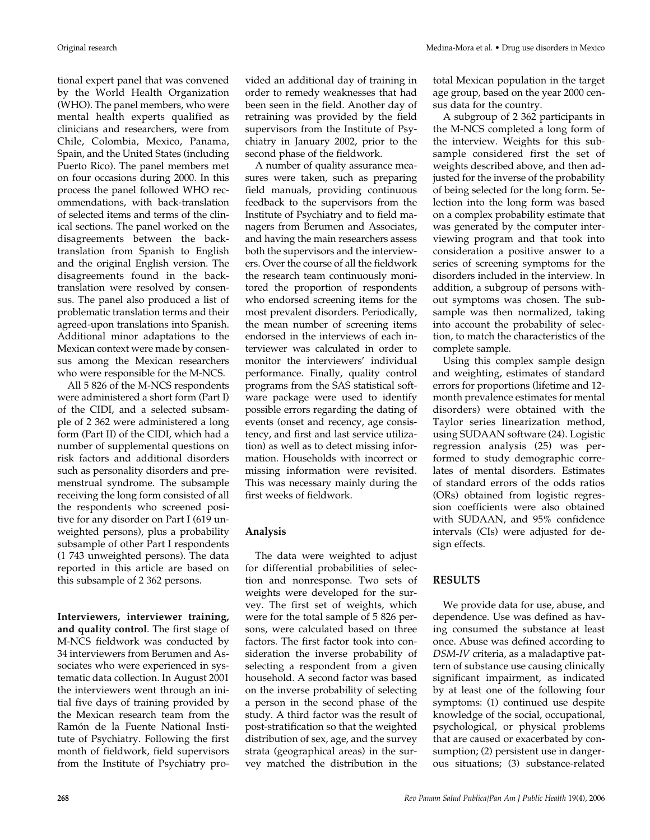tional expert panel that was convened by the World Health Organization (WHO). The panel members, who were mental health experts qualified as clinicians and researchers, were from Chile, Colombia, Mexico, Panama, Spain, and the United States (including Puerto Rico). The panel members met on four occasions during 2000. In this process the panel followed WHO recommendations, with back-translation of selected items and terms of the clinical sections. The panel worked on the disagreements between the backtranslation from Spanish to English and the original English version. The disagreements found in the backtranslation were resolved by consensus. The panel also produced a list of problematic translation terms and their agreed-upon translations into Spanish. Additional minor adaptations to the Mexican context were made by consensus among the Mexican researchers who were responsible for the M-NCS.

All 5 826 of the M-NCS respondents were administered a short form (Part I) of the CIDI, and a selected subsample of 2 362 were administered a long form (Part II) of the CIDI, which had a number of supplemental questions on risk factors and additional disorders such as personality disorders and premenstrual syndrome. The subsample receiving the long form consisted of all the respondents who screened positive for any disorder on Part I (619 unweighted persons), plus a probability subsample of other Part I respondents (1 743 unweighted persons). The data reported in this article are based on this subsample of 2 362 persons.

**Interviewers, interviewer training, and quality control**. The first stage of M-NCS fieldwork was conducted by 34 interviewers from Berumen and Associates who were experienced in systematic data collection. In August 2001 the interviewers went through an initial five days of training provided by the Mexican research team from the Ramón de la Fuente National Institute of Psychiatry. Following the first month of fieldwork, field supervisors from the Institute of Psychiatry provided an additional day of training in order to remedy weaknesses that had been seen in the field. Another day of retraining was provided by the field supervisors from the Institute of Psychiatry in January 2002, prior to the second phase of the fieldwork.

A number of quality assurance measures were taken, such as preparing field manuals, providing continuous feedback to the supervisors from the Institute of Psychiatry and to field managers from Berumen and Associates, and having the main researchers assess both the supervisors and the interviewers. Over the course of all the fieldwork the research team continuously monitored the proportion of respondents who endorsed screening items for the most prevalent disorders. Periodically, the mean number of screening items endorsed in the interviews of each interviewer was calculated in order to monitor the interviewers' individual performance. Finally, quality control programs from the SAS statistical software package were used to identify possible errors regarding the dating of events (onset and recency, age consistency, and first and last service utilization) as well as to detect missing information. Households with incorrect or missing information were revisited. This was necessary mainly during the first weeks of fieldwork.

#### **Analysis**

The data were weighted to adjust for differential probabilities of selection and nonresponse. Two sets of weights were developed for the survey. The first set of weights, which were for the total sample of 5 826 persons, were calculated based on three factors. The first factor took into consideration the inverse probability of selecting a respondent from a given household. A second factor was based on the inverse probability of selecting a person in the second phase of the study. A third factor was the result of post-stratification so that the weighted distribution of sex, age, and the survey strata (geographical areas) in the survey matched the distribution in the

total Mexican population in the target age group, based on the year 2000 census data for the country.

A subgroup of 2 362 participants in the M-NCS completed a long form of the interview. Weights for this subsample considered first the set of weights described above, and then adjusted for the inverse of the probability of being selected for the long form. Selection into the long form was based on a complex probability estimate that was generated by the computer interviewing program and that took into consideration a positive answer to a series of screening symptoms for the disorders included in the interview. In addition, a subgroup of persons without symptoms was chosen. The subsample was then normalized, taking into account the probability of selection, to match the characteristics of the complete sample.

Using this complex sample design and weighting, estimates of standard errors for proportions (lifetime and 12 month prevalence estimates for mental disorders) were obtained with the Taylor series linearization method, using SUDAAN software (24). Logistic regression analysis (25) was performed to study demographic correlates of mental disorders. Estimates of standard errors of the odds ratios (ORs) obtained from logistic regression coefficients were also obtained with SUDAAN, and 95% confidence intervals (CIs) were adjusted for design effects.

## **RESULTS**

We provide data for use, abuse, and dependence. Use was defined as having consumed the substance at least once. Abuse was defined according to *DSM-IV* criteria, as a maladaptive pattern of substance use causing clinically significant impairment, as indicated by at least one of the following four symptoms: (1) continued use despite knowledge of the social, occupational, psychological, or physical problems that are caused or exacerbated by consumption; (2) persistent use in dangerous situations; (3) substance-related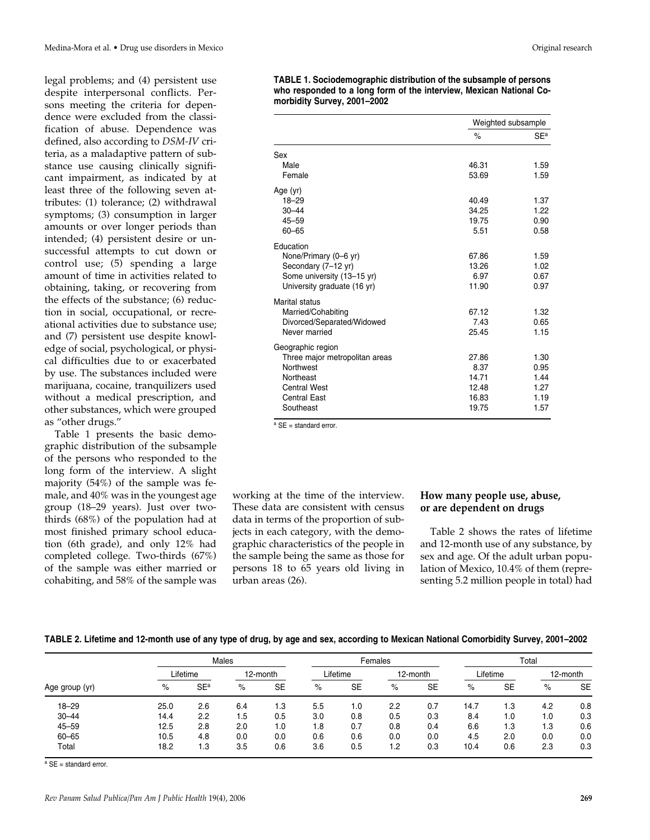legal problems; and (4) persistent use despite interpersonal conflicts. Persons meeting the criteria for dependence were excluded from the classification of abuse. Dependence was defined, also according to *DSM-IV* criteria, as a maladaptive pattern of substance use causing clinically significant impairment, as indicated by at least three of the following seven attributes: (1) tolerance; (2) withdrawal symptoms; (3) consumption in larger amounts or over longer periods than intended; (4) persistent desire or unsuccessful attempts to cut down or control use; (5) spending a large amount of time in activities related to obtaining, taking, or recovering from the effects of the substance; (6) reduction in social, occupational, or recreational activities due to substance use; and (7) persistent use despite knowledge of social, psychological, or physical difficulties due to or exacerbated by use. The substances included were marijuana, cocaine, tranquilizers used without a medical prescription, and other substances, which were grouped as "other drugs."

Table 1 presents the basic demographic distribution of the subsample of the persons who responded to the long form of the interview. A slight majority (54%) of the sample was female, and 40% was in the youngest age group (18–29 years). Just over twothirds (68%) of the population had at most finished primary school education (6th grade), and only 12% had completed college. Two-thirds (67%) of the sample was either married or cohabiting, and 58% of the sample was **TABLE 1. Sociodemographic distribution of the subsample of persons who responded to a long form of the interview, Mexican National Comorbidity Survey, 2001–2002**

|                                                     | Weighted subsample |                 |
|-----------------------------------------------------|--------------------|-----------------|
|                                                     | $\%$               | SE <sup>a</sup> |
| Sex                                                 |                    |                 |
| Male                                                | 46.31              | 1.59            |
| Female                                              | 53.69              | 1.59            |
| Age (yr)                                            |                    |                 |
| $18 - 29$                                           | 40.49              | 1.37            |
| $30 - 44$                                           | 34.25              | 1.22            |
| $45 - 59$<br>$60 - 65$                              | 19.75<br>5.51      | 0.90<br>0.58    |
|                                                     |                    |                 |
| Education                                           |                    |                 |
| None/Primary (0-6 yr)                               | 67.86              | 1.59            |
| Secondary (7-12 yr)<br>Some university (13-15 yr)   | 13.26<br>6.97      | 1.02<br>0.67    |
| University graduate (16 yr)                         | 11.90              | 0.97            |
|                                                     |                    |                 |
| Marital status                                      | 67.12              | 1.32            |
| Married/Cohabiting<br>Divorced/Separated/Widowed    | 7.43               | 0.65            |
| Never married                                       | 25.45              | 1.15            |
|                                                     |                    |                 |
| Geographic region<br>Three major metropolitan areas | 27.86              | 1.30            |
| <b>Northwest</b>                                    | 8.37               | 0.95            |
| Northeast                                           | 14.71              | 1.44            |
| <b>Central West</b>                                 | 12.48              | 1.27            |
| <b>Central East</b>                                 | 16.83              | 1.19            |
| Southeast                                           | 19.75              | 1.57            |

<sup>a</sup> SE = standard error.

working at the time of the interview. These data are consistent with census data in terms of the proportion of subjects in each category, with the demographic characteristics of the people in the sample being the same as those for persons 18 to 65 years old living in urban areas (26).

### **How many people use, abuse, or are dependent on drugs**

Table 2 shows the rates of lifetime and 12-month use of any substance, by sex and age. Of the adult urban population of Mexico, 10.4% of them (representing 5.2 million people in total) had

| TABLE 2. Lifetime and 12-month use of any type of drug, by age and sex, according to Mexican National Comorbidity Survey, 2001–2002 |  |  |
|-------------------------------------------------------------------------------------------------------------------------------------|--|--|

|                |          | Males                 |          |           |     |           | Females | Total    |      |           |     |           |
|----------------|----------|-----------------------|----------|-----------|-----|-----------|---------|----------|------|-----------|-----|-----------|
|                | Lifetime |                       | 12-month |           |     | Lifetime  |         | 12-month |      | Lifetime  |     | 12-month  |
| Age group (yr) | $\%$     | <b>SE<sup>a</sup></b> | %        | <b>SE</b> | %   | <b>SE</b> | $\%$    | SE       | $\%$ | <b>SE</b> | %   | <b>SE</b> |
| $18 - 29$      | 25.0     | 2.6                   | 6.4      | 1.3       | 5.5 | 1.0       | 2.2     | 0.7      | 14.7 | ۱.3       | 4.2 | 0.8       |
| $30 - 44$      | 14.4     | 2.2                   | 1.5      | 0.5       | 3.0 | 0.8       | 0.5     | 0.3      | 8.4  | 1.0       | 1.0 | 0.3       |
| $45 - 59$      | 12.5     | 2.8                   | 2.0      | 1.0       | 1.8 | 0.7       | 0.8     | 0.4      | 6.6  | 1.3       | 1.3 | 0.6       |
| $60 - 65$      | 10.5     | 4.8                   | 0.0      | 0.0       | 0.6 | 0.6       | 0.0     | 0.0      | 4.5  | 2.0       | 0.0 | 0.0       |
| Total          | 18.2     | 1.3                   | 3.5      | 0.6       | 3.6 | 0.5       | 1.2     | 0.3      | 10.4 | 0.6       | 2.3 | 0.3       |

<sup>a</sup> SE = standard error.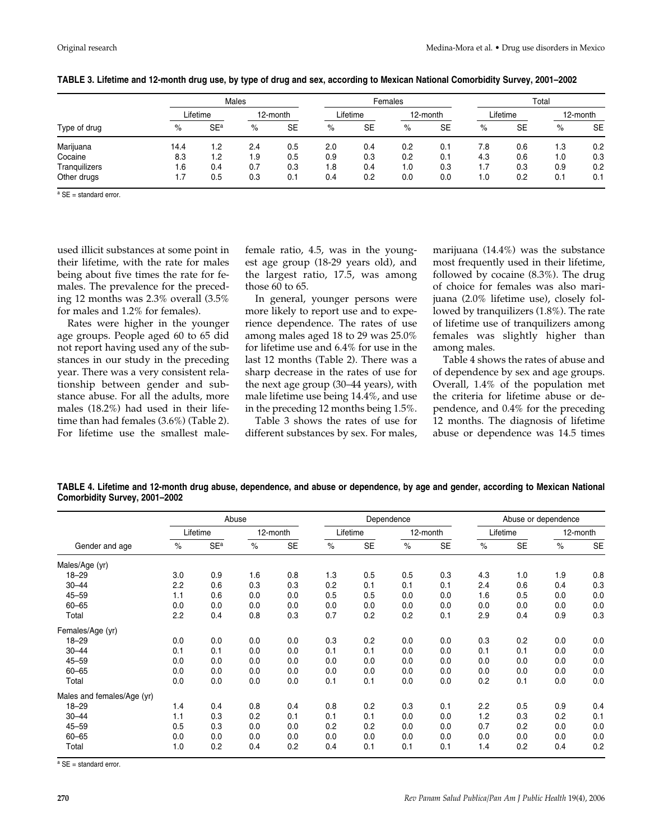| Type of drug  |          |                       | Males    |           | Females |           |     |           |     | Total    |     |           |  |
|---------------|----------|-----------------------|----------|-----------|---------|-----------|-----|-----------|-----|----------|-----|-----------|--|
|               | Lifetime |                       | 12-month |           |         | Lifetime  |     | 12-month  |     | Lifetime |     | 12-month  |  |
|               | %        | <b>SE<sup>a</sup></b> | $\%$     | <b>SE</b> | %       | <b>SE</b> | %   | <b>SE</b> | %   | SE       | %   | <b>SE</b> |  |
| Marijuana     | 14.4     | 1.2                   | 2.4      | 0.5       | 2.0     | 0.4       | 0.2 | 0.1       | 7.8 | 0.6      | 1.3 | 0.2       |  |
| Cocaine       | 8.3      | 1.2                   | 1.9      | 0.5       | 0.9     | 0.3       | 0.2 | 0.1       | 4.3 | 0.6      | 1.0 | 0.3       |  |
| Tranquilizers | 1.6      | 0.4                   | 0.7      | 0.3       | 1.8     | 0.4       | 1.0 | 0.3       | 1.7 | 0.3      | 0.9 | 0.2       |  |
| Other drugs   | 1.7      | 0.5                   | 0.3      | 0.1       | 0.4     | 0.2       | 0.0 | 0.0       | 1.0 | 0.2      | 0.1 | 0.1       |  |

**TABLE 3. Lifetime and 12-month drug use, by type of drug and sex, according to Mexican National Comorbidity Survey, 2001–2002**

 $a$  SE = standard error.

used illicit substances at some point in their lifetime, with the rate for males being about five times the rate for females. The prevalence for the preceding 12 months was 2.3% overall (3.5% for males and 1.2% for females).

Rates were higher in the younger age groups. People aged 60 to 65 did not report having used any of the substances in our study in the preceding year. There was a very consistent relationship between gender and substance abuse. For all the adults, more males (18.2%) had used in their lifetime than had females (3.6%) (Table 2). For lifetime use the smallest malefemale ratio, 4.5, was in the youngest age group (18-29 years old), and the largest ratio, 17.5, was among those 60 to 65.

In general, younger persons were more likely to report use and to experience dependence. The rates of use among males aged 18 to 29 was 25.0% for lifetime use and 6.4% for use in the last 12 months (Table 2). There was a sharp decrease in the rates of use for the next age group (30–44 years), with male lifetime use being 14.4%, and use in the preceding 12 months being 1.5%.

Table 3 shows the rates of use for different substances by sex. For males,

marijuana (14.4%) was the substance most frequently used in their lifetime, followed by cocaine (8.3%). The drug of choice for females was also marijuana (2.0% lifetime use), closely followed by tranquilizers (1.8%). The rate of lifetime use of tranquilizers among females was slightly higher than among males.

Table 4 shows the rates of abuse and of dependence by sex and age groups. Overall, 1.4% of the population met the criteria for lifetime abuse or dependence, and 0.4% for the preceding 12 months. The diagnosis of lifetime abuse or dependence was 14.5 times

**TABLE 4. Lifetime and 12-month drug abuse, dependence, and abuse or dependence, by age and gender, according to Mexican National Comorbidity Survey, 2001–2002**

|                            |          |                 | Abuse |           |      |           | Dependence |           | Abuse or dependence |           |      |           |
|----------------------------|----------|-----------------|-------|-----------|------|-----------|------------|-----------|---------------------|-----------|------|-----------|
|                            | Lifetime |                 |       | 12-month  |      | Lifetime  |            | 12-month  |                     | Lifetime  |      | 12-month  |
| Gender and age             | $\%$     | SE <sup>a</sup> | $\%$  | <b>SE</b> | $\%$ | <b>SE</b> | $\%$       | <b>SE</b> | $\%$                | <b>SE</b> | $\%$ | <b>SE</b> |
| Males/Age (yr)             |          |                 |       |           |      |           |            |           |                     |           |      |           |
| $18 - 29$                  | 3.0      | 0.9             | 1.6   | 0.8       | 1.3  | 0.5       | 0.5        | 0.3       | 4.3                 | 1.0       | 1.9  | 0.8       |
| $30 - 44$                  | 2.2      | 0.6             | 0.3   | 0.3       | 0.2  | 0.1       | 0.1        | 0.1       | 2.4                 | 0.6       | 0.4  | 0.3       |
| $45 - 59$                  | 1.1      | 0.6             | 0.0   | 0.0       | 0.5  | 0.5       | 0.0        | 0.0       | 1.6                 | 0.5       | 0.0  | 0.0       |
| $60 - 65$                  | 0.0      | 0.0             | 0.0   | 0.0       | 0.0  | 0.0       | 0.0        | 0.0       | 0.0                 | 0.0       | 0.0  | 0.0       |
| Total                      | 2.2      | 0.4             | 0.8   | 0.3       | 0.7  | 0.2       | 0.2        | 0.1       | 2.9                 | 0.4       | 0.9  | 0.3       |
| Females/Age (yr)           |          |                 |       |           |      |           |            |           |                     |           |      |           |
| $18 - 29$                  | 0.0      | 0.0             | 0.0   | 0.0       | 0.3  | 0.2       | 0.0        | 0.0       | 0.3                 | 0.2       | 0.0  | 0.0       |
| $30 - 44$                  | 0.1      | 0.1             | 0.0   | 0.0       | 0.1  | 0.1       | 0.0        | 0.0       | 0.1                 | 0.1       | 0.0  | 0.0       |
| $45 - 59$                  | 0.0      | 0.0             | 0.0   | 0.0       | 0.0  | 0.0       | 0.0        | 0.0       | 0.0                 | 0.0       | 0.0  | 0.0       |
| $60 - 65$                  | 0.0      | 0.0             | 0.0   | 0.0       | 0.0  | 0.0       | 0.0        | 0.0       | 0.0                 | 0.0       | 0.0  | 0.0       |
| Total                      | 0.0      | 0.0             | 0.0   | 0.0       | 0.1  | 0.1       | 0.0        | 0.0       | 0.2                 | 0.1       | 0.0  | 0.0       |
| Males and females/Age (yr) |          |                 |       |           |      |           |            |           |                     |           |      |           |
| $18 - 29$                  | 1.4      | 0.4             | 0.8   | 0.4       | 0.8  | 0.2       | 0.3        | 0.1       | 2.2                 | 0.5       | 0.9  | 0.4       |
| $30 - 44$                  | 1.1      | 0.3             | 0.2   | 0.1       | 0.1  | 0.1       | 0.0        | 0.0       | 1.2                 | 0.3       | 0.2  | 0.1       |
| $45 - 59$                  | 0.5      | 0.3             | 0.0   | 0.0       | 0.2  | 0.2       | 0.0        | 0.0       | 0.7                 | 0.2       | 0.0  | 0.0       |
| $60 - 65$                  | 0.0      | 0.0             | 0.0   | 0.0       | 0.0  | 0.0       | 0.0        | 0.0       | 0.0                 | 0.0       | 0.0  | 0.0       |
| Total                      | 1.0      | 0.2             | 0.4   | 0.2       | 0.4  | 0.1       | 0.1        | 0.1       | 1.4                 | 0.2       | 0.4  | 0.2       |

<sup>a</sup> SE = standard error.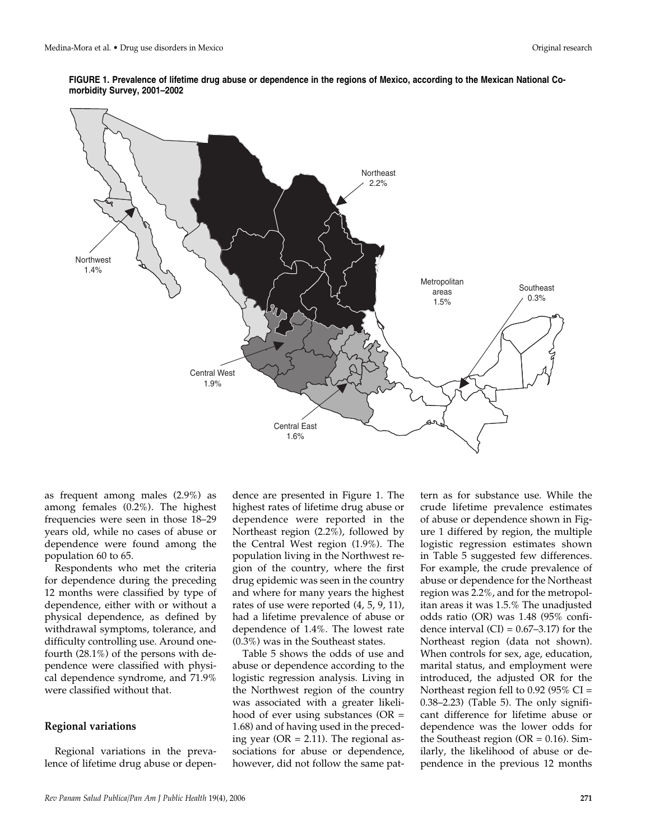**FIGURE 1. Prevalence of lifetime drug abuse or dependence in the regions of Mexico, according to the Mexican National Comorbidity Survey, 2001–2002**



as frequent among males (2.9%) as among females (0.2%). The highest frequencies were seen in those 18–29 years old, while no cases of abuse or dependence were found among the population 60 to 65.

Respondents who met the criteria for dependence during the preceding 12 months were classified by type of dependence, either with or without a physical dependence, as defined by withdrawal symptoms, tolerance, and difficulty controlling use. Around onefourth (28.1%) of the persons with dependence were classified with physical dependence syndrome, and 71.9% were classified without that.

#### **Regional variations**

Regional variations in the prevalence of lifetime drug abuse or dependence are presented in Figure 1. The highest rates of lifetime drug abuse or dependence were reported in the Northeast region (2.2%), followed by the Central West region (1.9%). The population living in the Northwest region of the country, where the first drug epidemic was seen in the country and where for many years the highest rates of use were reported (4, 5, 9, 11), had a lifetime prevalence of abuse or dependence of 1.4%. The lowest rate (0.3%) was in the Southeast states.

Table 5 shows the odds of use and abuse or dependence according to the logistic regression analysis. Living in the Northwest region of the country was associated with a greater likelihood of ever using substances (OR = 1.68) and of having used in the preceding year ( $OR = 2.11$ ). The regional associations for abuse or dependence, however, did not follow the same pattern as for substance use. While the crude lifetime prevalence estimates of abuse or dependence shown in Figure 1 differed by region, the multiple logistic regression estimates shown in Table 5 suggested few differences. For example, the crude prevalence of abuse or dependence for the Northeast region was 2.2%, and for the metropolitan areas it was 1.5.% The unadjusted odds ratio (OR) was 1.48 (95% confidence interval  $(CI) = 0.67-3.17$  for the Northeast region (data not shown). When controls for sex, age, education, marital status, and employment were introduced, the adjusted OR for the Northeast region fell to 0.92 (95% CI = 0.38–2.23) (Table 5). The only significant difference for lifetime abuse or dependence was the lower odds for the Southeast region ( $OR = 0.16$ ). Similarly, the likelihood of abuse or dependence in the previous 12 months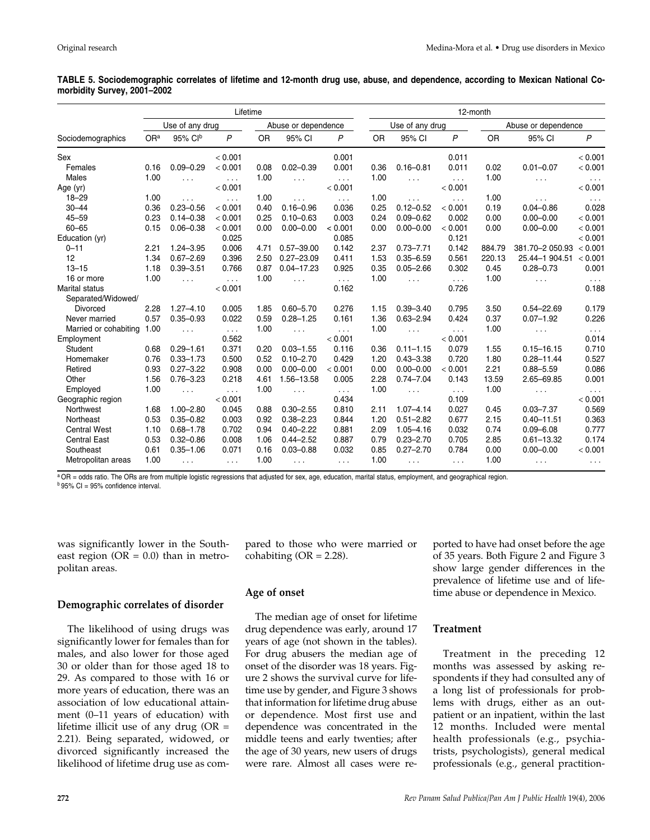| TABLE 5. Sociodemographic correlates of lifetime and 12-month drug use, abuse, and dependence, according to Mexican National Co- |  |  |  |  |  |
|----------------------------------------------------------------------------------------------------------------------------------|--|--|--|--|--|
| morbidity Survey, 2001-2002                                                                                                      |  |  |  |  |  |

|                       |                 |                      | Lifetime             |           |                     |                      |           | 12-month        |                      |           |                     |                      |  |  |
|-----------------------|-----------------|----------------------|----------------------|-----------|---------------------|----------------------|-----------|-----------------|----------------------|-----------|---------------------|----------------------|--|--|
|                       | Use of any drug |                      |                      |           | Abuse or dependence |                      |           | Use of any drug |                      |           | Abuse or dependence |                      |  |  |
| Sociodemographics     | OR <sup>a</sup> | 95% Clb              | P                    | <b>OR</b> | 95% CI              | $\mathsf{P}$         | <b>OR</b> | 95% CI          | P                    | <b>OR</b> | 95% CI              | $\mathsf{P}$         |  |  |
| Sex                   |                 |                      | < 0.001              |           |                     | 0.001                |           |                 | 0.011                |           |                     | < 0.001              |  |  |
| Females               | 0.16            | $0.09 - 0.29$        | < 0.001              | 0.08      | $0.02 - 0.39$       | 0.001                | 0.36      | $0.16 - 0.81$   | 0.011                | 0.02      | $0.01 - 0.07$       | < 0.001              |  |  |
| Males                 | 1.00            | $\sim$ $\sim$        | $\cdots$             | 1.00      | $\cdots$            | $\cdots$             | 1.00      | $\sim$ .        | $\cdots$             | 1.00      | $\cdots$            | $\sim$ $\sim$ $\sim$ |  |  |
| Age (yr)              |                 |                      | < 0.001              |           |                     | < 0.001              |           |                 | < 0.001              |           |                     | < 0.001              |  |  |
| $18 - 29$             | 1.00            | $\sim$ $\sim$        | $\cdots$             | 1.00      | $\cdots$            | $\cdots$             | 1.00      | $\cdots$        | $\sim$ $\sim$ $\sim$ | 1.00      | $\cdots$            | $\sim$ $\sim$ $\sim$ |  |  |
| $30 - 44$             | 0.36            | $0.23 - 0.56$        | < 0.001              | 0.40      | $0.16 - 0.96$       | 0.036                | 0.25      | $0.12 - 0.52$   | < 0.001              | 0.19      | $0.04 - 0.86$       | 0.028                |  |  |
| $45 - 59$             | 0.23            | $0.14 - 0.38$        | < 0.001              | 0.25      | $0.10 - 0.63$       | 0.003                | 0.24      | $0.09 - 0.62$   | 0.002                | 0.00      | $0.00 - 0.00$       | < 0.001              |  |  |
| $60 - 65$             | 0.15            | $0.06 - 0.38$        | < 0.001              | 0.00      | $0.00 - 0.00$       | < 0.001              | 0.00      | $0.00 - 0.00$   | < 0.001              | 0.00      | $0.00 - 0.00$       | < 0.001              |  |  |
| Education (yr)        |                 |                      | 0.025                |           |                     | 0.085                |           |                 | 0.121                |           |                     | < 0.001              |  |  |
| $0 - 11$              | 2.21            | $1.24 - 3.95$        | 0.006                | 4.71      | $0.57 - 39.00$      | 0.142                | 2.37      | $0.73 - 7.71$   | 0.142                | 884.79    | 381.70-2 050.93     | < 0.001              |  |  |
| 12                    | 1.34            | $0.67 - 2.69$        | 0.396                | 2.50      | $0.27 - 23.09$      | 0.411                | 1.53      | $0.35 - 6.59$   | 0.561                | 220.13    | 25.44-1 904.51      | < 0.001              |  |  |
| $13 - 15$             | 1.18            | $0.39 - 3.51$        | 0.766                | 0.87      | $0.04 - 17.23$      | 0.925                | 0.35      | $0.05 - 2.66$   | 0.302                | 0.45      | $0.28 - 0.73$       | 0.001                |  |  |
| 16 or more            | 1.00            | $\sim$ $\sim$ $\sim$ | $\cdots$             | 1.00      | $\cdots$            | $\cdots$             | 1.00      | $\sim$          | $\cdots$             | 1.00      | $\cdots$            | $\cdots$             |  |  |
| <b>Marital status</b> |                 |                      | < 0.001              |           |                     | 0.162                |           |                 | 0.726                |           |                     | 0.188                |  |  |
| Separated/Widowed/    |                 |                      |                      |           |                     |                      |           |                 |                      |           |                     |                      |  |  |
| Divorced              | 2.28            | $1.27 - 4.10$        | 0.005                | 1.85      | $0.60 - 5.70$       | 0.276                | 1.15      | $0.39 - 3.40$   | 0.795                | 3.50      | $0.54 - 22.69$      | 0.179                |  |  |
| Never married         | 0.57            | $0.35 - 0.93$        | 0.022                | 0.59      | $0.28 - 1.25$       | 0.161                | 1.36      | $0.63 - 2.94$   | 0.424                | 0.37      | $0.07 - 1.92$       | 0.226                |  |  |
| Married or cohabiting | 1.00            | $\sim$ $\sim$        | $\sim$ $\sim$ $\sim$ | 1.00      | $\cdots$            | $\sim$ $\sim$ $\sim$ | 1.00      | $\sim$ $\sim$   | $\sim$ $\sim$        | 1.00      | $\cdots$            | $\ldots$ .           |  |  |
| Employment            |                 |                      | 0.562                |           |                     | < 0.001              |           |                 | < 0.001              |           |                     | 0.014                |  |  |
| Student               | 0.68            | $0.29 - 1.61$        | 0.371                | 0.20      | $0.03 - 1.55$       | 0.116                | 0.36      | $0.11 - 1.15$   | 0.079                | 1.55      | $0.15 - 16.15$      | 0.710                |  |  |
| Homemaker             | 0.76            | $0.33 - 1.73$        | 0.500                | 0.52      | $0.10 - 2.70$       | 0.429                | 1.20      | $0.43 - 3.38$   | 0.720                | 1.80      | $0.28 - 11.44$      | 0.527                |  |  |
| Retired               | 0.93            | $0.27 - 3.22$        | 0.908                | 0.00      | $0.00 - 0.00$       | < 0.001              | 0.00      | $0.00 - 0.00$   | < 0.001              | 2.21      | $0.88 - 5.59$       | 0.086                |  |  |
| Other                 | 1.56            | $0.76 - 3.23$        | 0.218                | 4.61      | 1.56-13.58          | 0.005                | 2.28      | $0.74 - 7.04$   | 0.143                | 13.59     | 2.65-69.85          | 0.001                |  |  |
| Employed              | 1.00            | $\cdots$             | $\sim$ $\sim$ $\sim$ | 1.00      | $\sim$ $\sim$       | $\cdots$             | 1.00      | $\sim$ $\sim$   | $\sim 100$           | 1.00      | $\cdots$            | $\cdots$             |  |  |
| Geographic region     |                 |                      | < 0.001              |           |                     | 0.434                |           |                 | 0.109                |           |                     | < 0.001              |  |  |
| Northwest             | 1.68            | $1.00 - 2.80$        | 0.045                | 0.88      | $0.30 - 2.55$       | 0.810                | 2.11      | $1.07 - 4.14$   | 0.027                | 0.45      | $0.03 - 7.37$       | 0.569                |  |  |
| Northeast             | 0.53            | $0.35 - 0.82$        | 0.003                | 0.92      | $0.38 - 2.23$       | 0.844                | 1.20      | $0.51 - 2.82$   | 0.677                | 2.15      | $0.40 - 11.51$      | 0.363                |  |  |
| <b>Central West</b>   | 1.10            | $0.68 - 1.78$        | 0.702                | 0.94      | $0.40 - 2.22$       | 0.881                | 2.09      | $1.05 - 4.16$   | 0.032                | 0.74      | $0.09 - 6.08$       | 0.777                |  |  |
| <b>Central East</b>   | 0.53            | $0.32 - 0.86$        | 0.008                | 1.06      | $0.44 - 2.52$       | 0.887                | 0.79      | $0.23 - 2.70$   | 0.705                | 2.85      | $0.61 - 13.32$      | 0.174                |  |  |
| Southeast             | 0.61            | $0.35 - 1.06$        | 0.071                | 0.16      | $0.03 - 0.88$       | 0.032                | 0.85      | $0.27 - 2.70$   | 0.784                | 0.00      | $0.00 - 0.00$       | < 0.001              |  |  |
| Metropolitan areas    | 1.00            | $\cdots$             | $\sim$ $\sim$ $\sim$ | 1.00      | .                   | $\sim$ $\sim$        | 1.00      | $\cdots$        | $\sim$ $\sim$        | 1.00      | $\cdots$            | $\cdots$             |  |  |

a OR = odds ratio. The ORs are from multiple logistic regressions that adjusted for sex, age, education, marital status, employment, and geographical region.  $b$  95% CI = 95% confidence interval.

cohabiting  $(OR = 2.28)$ .

was significantly lower in the Southeast region ( $OR = 0.0$ ) than in metropolitan areas.

#### **Demographic correlates of disorder**

The likelihood of using drugs was significantly lower for females than for males, and also lower for those aged 30 or older than for those aged 18 to 29. As compared to those with 16 or more years of education, there was an association of low educational attainment (0–11 years of education) with lifetime illicit use of any drug  $(OR =$ 2.21). Being separated, widowed, or divorced significantly increased the likelihood of lifetime drug use as com-

# **Age of onset**

The median age of onset for lifetime drug dependence was early, around 17 years of age (not shown in the tables). For drug abusers the median age of onset of the disorder was 18 years. Figure 2 shows the survival curve for lifetime use by gender, and Figure 3 shows that information for lifetime drug abuse or dependence. Most first use and dependence was concentrated in the middle teens and early twenties; after the age of 30 years, new users of drugs were rare. Almost all cases were re-

pared to those who were married or

ported to have had onset before the age of 35 years. Both Figure 2 and Figure 3 show large gender differences in the prevalence of lifetime use and of lifetime abuse or dependence in Mexico.

#### **Treatment**

Treatment in the preceding 12 months was assessed by asking respondents if they had consulted any of a long list of professionals for problems with drugs, either as an outpatient or an inpatient, within the last 12 months. Included were mental health professionals (e.g., psychiatrists, psychologists), general medical professionals (e.g., general practition-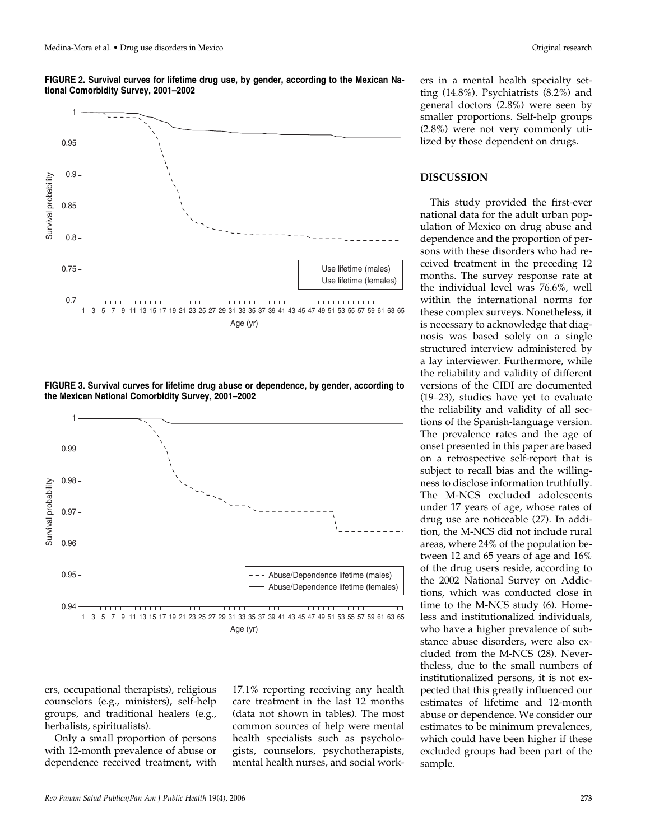**FIGURE 2. Survival curves for lifetime drug use, by gender, according to the Mexican National Comorbidity Survey, 2001–2002**



**FIGURE 3. Survival curves for lifetime drug abuse or dependence, by gender, according to the Mexican National Comorbidity Survey, 2001–2002**



ers, occupational therapists), religious counselors (e.g., ministers), self-help groups, and traditional healers (e.g., herbalists, spiritualists).

Only a small proportion of persons with 12-month prevalence of abuse or dependence received treatment, with

17.1% reporting receiving any health care treatment in the last 12 months (data not shown in tables). The most common sources of help were mental health specialists such as psychologists, counselors, psychotherapists, mental health nurses, and social workers in a mental health specialty setting (14.8%). Psychiatrists (8.2%) and general doctors (2.8%) were seen by smaller proportions. Self-help groups (2.8%) were not very commonly utilized by those dependent on drugs.

#### **DISCUSSION**

This study provided the first-ever national data for the adult urban population of Mexico on drug abuse and dependence and the proportion of persons with these disorders who had received treatment in the preceding 12 months. The survey response rate at the individual level was 76.6%, well within the international norms for these complex surveys. Nonetheless, it is necessary to acknowledge that diagnosis was based solely on a single structured interview administered by a lay interviewer. Furthermore, while the reliability and validity of different versions of the CIDI are documented (19–23), studies have yet to evaluate the reliability and validity of all sections of the Spanish-language version. The prevalence rates and the age of onset presented in this paper are based on a retrospective self-report that is subject to recall bias and the willingness to disclose information truthfully. The M-NCS excluded adolescents under 17 years of age, whose rates of drug use are noticeable (27). In addition, the M-NCS did not include rural areas, where 24% of the population between 12 and 65 years of age and 16% of the drug users reside, according to the 2002 National Survey on Addictions, which was conducted close in time to the M-NCS study (6). Homeless and institutionalized individuals, who have a higher prevalence of substance abuse disorders, were also excluded from the M-NCS (28). Nevertheless, due to the small numbers of institutionalized persons, it is not expected that this greatly influenced our estimates of lifetime and 12-month abuse or dependence. We consider our estimates to be minimum prevalences, which could have been higher if these excluded groups had been part of the sample.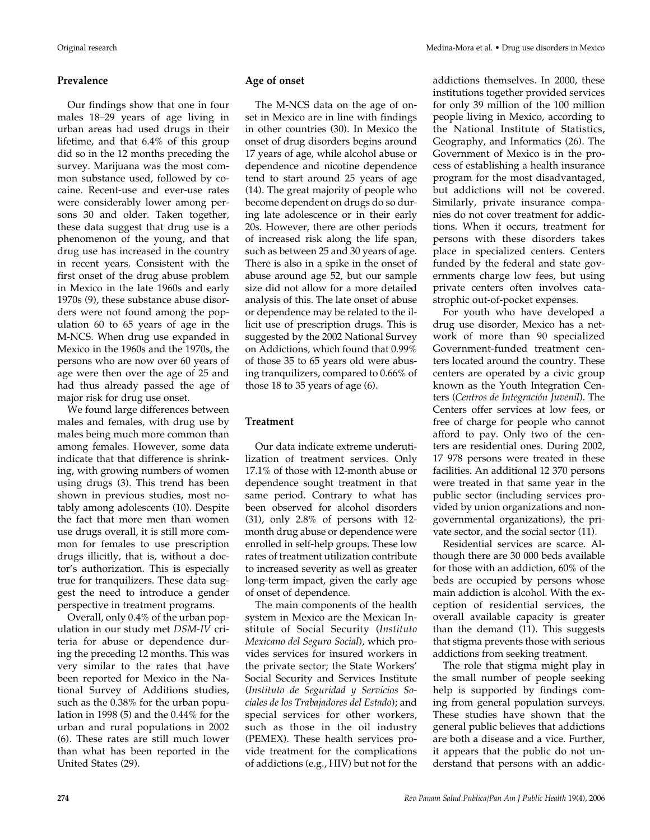#### **Prevalence**

Our findings show that one in four males 18–29 years of age living in urban areas had used drugs in their lifetime, and that 6.4% of this group did so in the 12 months preceding the survey. Marijuana was the most common substance used, followed by cocaine. Recent-use and ever-use rates were considerably lower among persons 30 and older. Taken together, these data suggest that drug use is a phenomenon of the young, and that drug use has increased in the country in recent years. Consistent with the first onset of the drug abuse problem in Mexico in the late 1960s and early 1970s (9), these substance abuse disorders were not found among the population 60 to 65 years of age in the M-NCS. When drug use expanded in Mexico in the 1960s and the 1970s, the persons who are now over 60 years of age were then over the age of 25 and had thus already passed the age of major risk for drug use onset.

We found large differences between males and females, with drug use by males being much more common than among females. However, some data indicate that that difference is shrinking, with growing numbers of women using drugs (3). This trend has been shown in previous studies, most notably among adolescents (10). Despite the fact that more men than women use drugs overall, it is still more common for females to use prescription drugs illicitly, that is, without a doctor's authorization. This is especially true for tranquilizers. These data suggest the need to introduce a gender perspective in treatment programs.

Overall, only 0.4% of the urban population in our study met *DSM-IV* criteria for abuse or dependence during the preceding 12 months. This was very similar to the rates that have been reported for Mexico in the National Survey of Additions studies, such as the 0.38% for the urban population in 1998 (5) and the 0.44% for the urban and rural populations in 2002 (6). These rates are still much lower than what has been reported in the United States (29).

#### **Age of onset**

The M-NCS data on the age of onset in Mexico are in line with findings in other countries (30). In Mexico the onset of drug disorders begins around 17 years of age, while alcohol abuse or dependence and nicotine dependence tend to start around 25 years of age (14). The great majority of people who become dependent on drugs do so during late adolescence or in their early 20s. However, there are other periods of increased risk along the life span, such as between 25 and 30 years of age. There is also in a spike in the onset of abuse around age 52, but our sample size did not allow for a more detailed analysis of this. The late onset of abuse or dependence may be related to the illicit use of prescription drugs. This is suggested by the 2002 National Survey on Addictions, which found that 0.99% of those 35 to 65 years old were abusing tranquilizers, compared to 0.66% of those 18 to 35 years of age (6).

#### **Treatment**

Our data indicate extreme underutilization of treatment services. Only 17.1% of those with 12-month abuse or dependence sought treatment in that same period. Contrary to what has been observed for alcohol disorders (31), only 2.8% of persons with 12 month drug abuse or dependence were enrolled in self-help groups. These low rates of treatment utilization contribute to increased severity as well as greater long-term impact, given the early age of onset of dependence.

The main components of the health system in Mexico are the Mexican Institute of Social Security (*Instituto Mexicano del Seguro Social*), which provides services for insured workers in the private sector; the State Workers' Social Security and Services Institute (*Instituto de Seguridad y Servicios Sociales de los Trabajadores del Estado*); and special services for other workers, such as those in the oil industry (PEMEX). These health services provide treatment for the complications of addictions (e.g., HIV) but not for the

addictions themselves. In 2000, these institutions together provided services for only 39 million of the 100 million people living in Mexico, according to the National Institute of Statistics, Geography, and Informatics (26). The Government of Mexico is in the process of establishing a health insurance program for the most disadvantaged, but addictions will not be covered. Similarly, private insurance companies do not cover treatment for addictions. When it occurs, treatment for persons with these disorders takes place in specialized centers. Centers funded by the federal and state governments charge low fees, but using private centers often involves cata-

strophic out-of-pocket expenses. For youth who have developed a drug use disorder, Mexico has a network of more than 90 specialized Government-funded treatment centers located around the country. These centers are operated by a civic group known as the Youth Integration Centers (*Centros de Integración Juvenil*). The Centers offer services at low fees, or free of charge for people who cannot afford to pay. Only two of the centers are residential ones. During 2002, 17 978 persons were treated in these facilities. An additional 12 370 persons were treated in that same year in the public sector (including services provided by union organizations and nongovernmental organizations), the private sector, and the social sector (11).

Residential services are scarce. Although there are 30 000 beds available for those with an addiction, 60% of the beds are occupied by persons whose main addiction is alcohol. With the exception of residential services, the overall available capacity is greater than the demand (11). This suggests that stigma prevents those with serious addictions from seeking treatment.

The role that stigma might play in the small number of people seeking help is supported by findings coming from general population surveys. These studies have shown that the general public believes that addictions are both a disease and a vice. Further, it appears that the public do not understand that persons with an addic-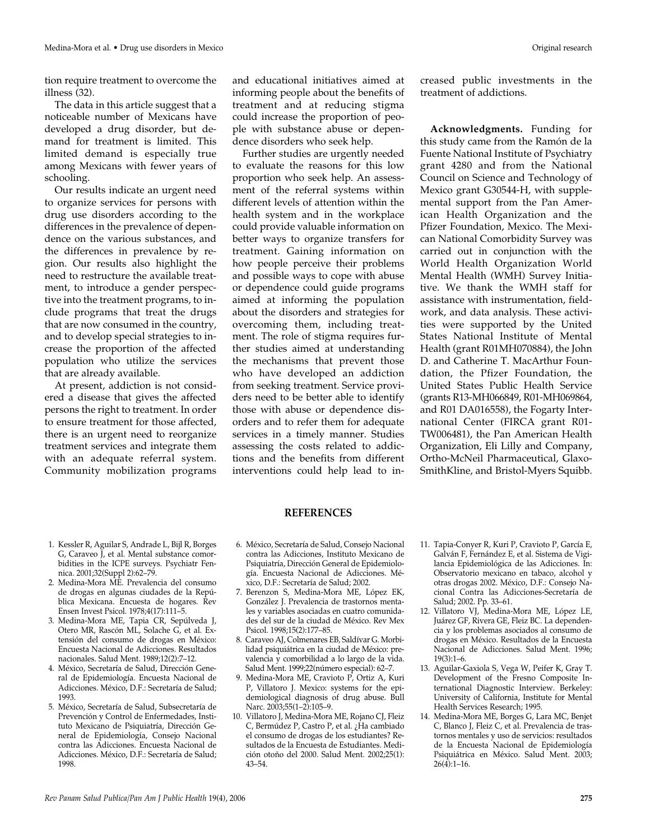tion require treatment to overcome the illness (32).

The data in this article suggest that a noticeable number of Mexicans have developed a drug disorder, but demand for treatment is limited. This limited demand is especially true among Mexicans with fewer years of schooling.

Our results indicate an urgent need to organize services for persons with drug use disorders according to the differences in the prevalence of dependence on the various substances, and the differences in prevalence by region. Our results also highlight the need to restructure the available treatment, to introduce a gender perspective into the treatment programs, to include programs that treat the drugs that are now consumed in the country, and to develop special strategies to increase the proportion of the affected population who utilize the services that are already available.

At present, addiction is not considered a disease that gives the affected persons the right to treatment. In order to ensure treatment for those affected, there is an urgent need to reorganize treatment services and integrate them with an adequate referral system. Community mobilization programs

and educational initiatives aimed at informing people about the benefits of treatment and at reducing stigma could increase the proportion of people with substance abuse or dependence disorders who seek help.

Further studies are urgently needed to evaluate the reasons for this low proportion who seek help. An assessment of the referral systems within different levels of attention within the health system and in the workplace could provide valuable information on better ways to organize transfers for treatment. Gaining information on how people perceive their problems and possible ways to cope with abuse or dependence could guide programs aimed at informing the population about the disorders and strategies for overcoming them, including treatment. The role of stigma requires further studies aimed at understanding the mechanisms that prevent those who have developed an addiction from seeking treatment. Service providers need to be better able to identify those with abuse or dependence disorders and to refer them for adequate services in a timely manner. Studies assessing the costs related to addictions and the benefits from different interventions could help lead to increased public investments in the treatment of addictions.

**Acknowledgments.** Funding for this study came from the Ramón de la Fuente National Institute of Psychiatry grant 4280 and from the National Council on Science and Technology of Mexico grant G30544-H, with supplemental support from the Pan American Health Organization and the Pfizer Foundation, Mexico. The Mexican National Comorbidity Survey was carried out in conjunction with the World Health Organization World Mental Health (WMH) Survey Initiative. We thank the WMH staff for assistance with instrumentation, fieldwork, and data analysis. These activities were supported by the United States National Institute of Mental Health (grant R01MH070884), the John D. and Catherine T. MacArthur Foundation, the Pfizer Foundation, the United States Public Health Service (grants R13-MH066849, R01-MH069864, and R01 DA016558), the Fogarty International Center (FIRCA grant R01- TW006481), the Pan American Health Organization, Eli Lilly and Company, Ortho-McNeil Pharmaceutical, Glaxo-SmithKline, and Bristol-Myers Squibb.

#### **REFERENCES**

- 1. Kessler R, Aguilar S, Andrade L, Bijl R, Borges G, Caraveo J, et al. Mental substance comorbidities in the ICPE surveys. Psychiatr Fennica. 2001;32(Suppl 2):62–79.
- 2. Medina-Mora ME. Prevalencia del consumo de drogas en algunas ciudades de la República Mexicana. Encuesta de hogares. Rev Ensen Invest Psicol. 1978;4(17):111–5.
- 3. Medina-Mora ME, Tapia CR, Sepúlveda J, Otero MR, Rascón ML, Solache G, et al. Extensión del consumo de drogas en México: Encuesta Nacional de Adicciones. Resultados nacionales. Salud Ment. 1989;12(2):7–12.
- 4. México, Secretaría de Salud, Dirección General de Epidemiología. Encuesta Nacional de Adicciones. México, D.F.: Secretaría de Salud; 1993.
- 5. México, Secretaría de Salud, Subsecretaría de Prevención y Control de Enfermedades, Instituto Mexicano de Psiquiatría, Dirección General de Epidemiología, Consejo Nacional contra las Adicciones. Encuesta Nacional de Adicciones. México, D.F.: Secretaría de Salud; 1998.
- 6. México, Secretaría de Salud, Consejo Nacional contra las Adicciones, Instituto Mexicano de Psiquiatría, Dirección General de Epidemiología. Encuesta Nacional de Adicciones. México, D.F.: Secretaría de Salud; 2002.
- 7. Berenzon S, Medina-Mora ME, López EK, González J. Prevalencia de trastornos mentales y variables asociadas en cuatro comunidades del sur de la ciudad de México. Rev Mex Psicol. 1998;15(2):177–85.
- 8. Caraveo AJ, Colmenares EB, Saldívar G. Morbilidad psiquiátrica en la ciudad de México: prevalencia y comorbilidad a lo largo de la vida. Salud Ment. 1999;22(número especial): 62–7.
- 9. Medina-Mora ME, Cravioto P, Ortiz A, Kuri P, Villatoro J. Mexico: systems for the epidemiological diagnosis of drug abuse. Bull Narc. 2003;55(1-2):105-9.
- 10. Villatoro J, Medina-Mora ME, Rojano CJ, Fleiz C, Bermúdez P, Castro P, et al. ¿Ha cambiado el consumo de drogas de los estudiantes? Resultados de la Encuesta de Estudiantes. Medición otoño del 2000. Salud Ment. 2002;25(1): 43–54.
- 11. Tapia-Conyer R, Kuri P, Cravioto P, García E, Galván F, Fernández E, et al. Sistema de Vigilancia Epidemiológica de las Adicciones. In: Observatorio mexicano en tabaco, alcohol y otras drogas 2002. México, D.F.: Consejo Nacional Contra las Adicciones-Secretaría de Salud; 2002. Pp. 33–61.
- 12. Villatoro VJ, Medina-Mora ME, López LE, Juárez GF, Rivera GE, Fleiz BC. La dependencia y los problemas asociados al consumo de drogas en México. Resultados de la Encuesta Nacional de Adicciones. Salud Ment. 1996;  $19(3):1-6.$
- 13. Aguilar-Gaxiola S, Vega W, Peifer K, Gray T. Development of the Fresno Composite International Diagnostic Interview. Berkeley: University of California, Institute for Mental Health Services Research; 1995.
- 14. Medina-Mora ME, Borges G, Lara MC, Benjet C, Blanco J, Fleiz C, et al. Prevalencia de trastornos mentales y uso de servicios: resultados de la Encuesta Nacional de Epidemiología Psiquiátrica en México. Salud Ment. 2003;  $26(4):1-16.$